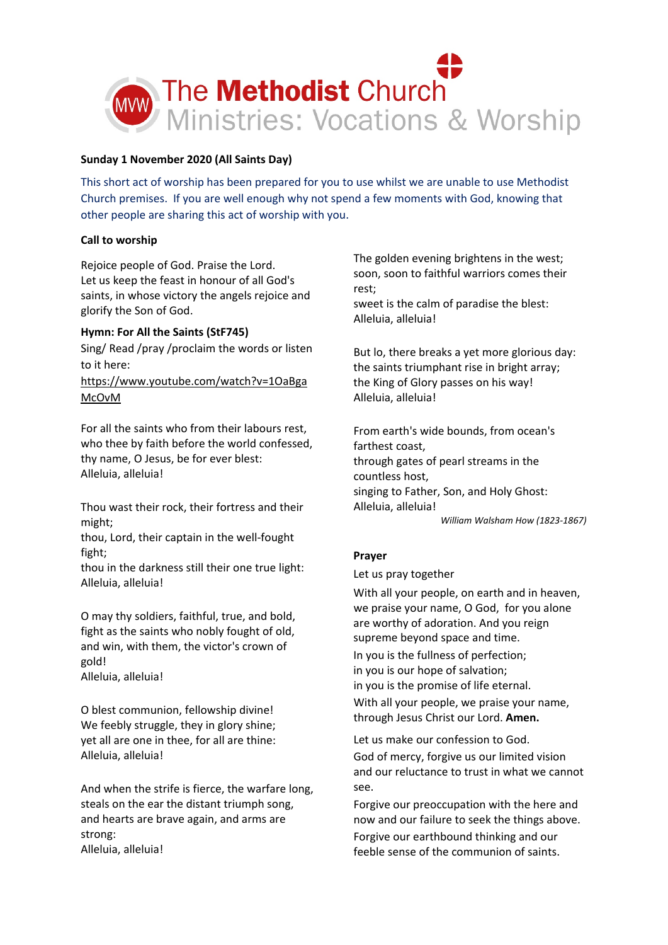

# **Sunday 1 November 2020 (All Saints Day)**

This short act of worship has been prepared for you to use whilst we are unable to use Methodist Church premises. If you are well enough why not spend a few moments with God, knowing that other people are sharing this act of worship with you.

# **Call to worship**

Rejoice people of God. Praise the Lord. Let us keep the feast in honour of all God's saints, in whose victory the angels rejoice and glorify the Son of God.

# **Hymn: For All the Saints (StF745)**

Sing/ Read /pray /proclaim the words or listen to it here:

[https://www.youtube.com/watch?v=1OaBga](https://www.youtube.com/watch?v=1OaBgaMcOvM) [McOvM](https://www.youtube.com/watch?v=1OaBgaMcOvM)

For all the saints who from their labours rest, who thee by faith before the world confessed, thy name, O Jesus, be for ever blest: Alleluia, alleluia!

Thou wast their rock, their fortress and their might;

thou, Lord, their captain in the well-fought fight;

thou in the darkness still their one true light: Alleluia, alleluia!

O may thy soldiers, faithful, true, and bold, fight as the saints who nobly fought of old, and win, with them, the victor's crown of gold! Alleluia, alleluia!

O blest communion, fellowship divine! We feebly struggle, they in glory shine; yet all are one in thee, for all are thine: Alleluia, alleluia!

And when the strife is fierce, the warfare long, steals on the ear the distant triumph song, and hearts are brave again, and arms are strong: Alleluia, alleluia!

The golden evening brightens in the west; soon, soon to faithful warriors comes their rest;

sweet is the calm of paradise the blest: Alleluia, alleluia!

But lo, there breaks a yet more glorious day: the saints triumphant rise in bright array; the King of Glory passes on his way! Alleluia, alleluia!

From earth's wide bounds, from ocean's farthest coast, through gates of pearl streams in the countless host, singing to Father, Son, and Holy Ghost: Alleluia, alleluia!

*William Walsham How (1823-1867)*

# **Prayer**

Let us pray together

With all your people, on earth and in heaven, we praise your name, O God, for you alone are worthy of adoration. And you reign supreme beyond space and time. In you is the fullness of perfection; in you is our hope of salvation; in you is the promise of life eternal.

With all your people, we praise your name, through Jesus Christ our Lord. **Amen.**

Let us make our confession to God. God of mercy, forgive us our limited vision and our reluctance to trust in what we cannot see.

Forgive our preoccupation with the here and now and our failure to seek the things above. Forgive our earthbound thinking and our feeble sense of the communion of saints.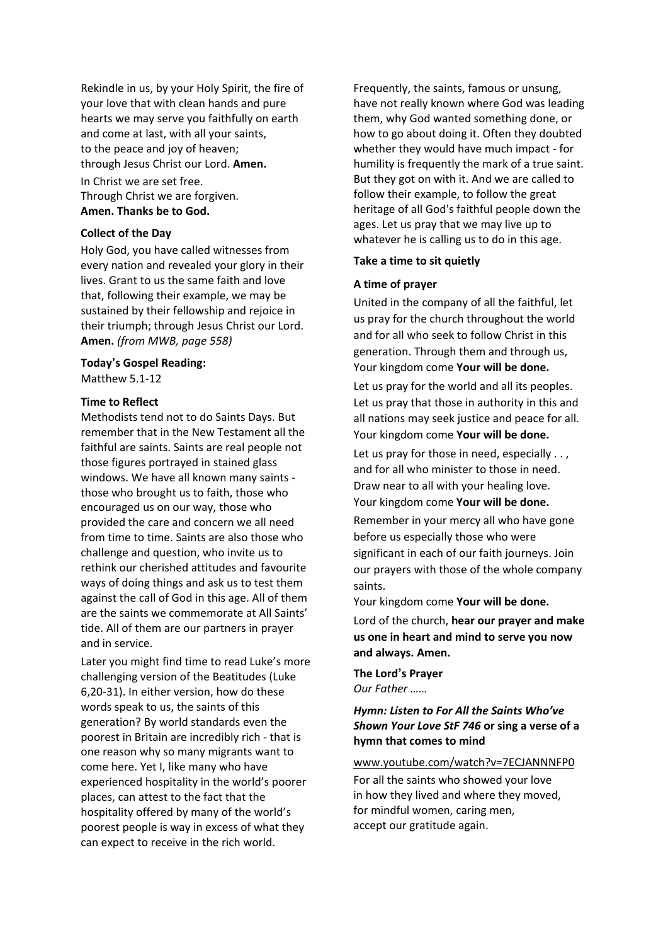Rekindle in us, by your Holy Spirit, the fire of your love that with clean hands and pure hearts we may serve you faithfully on earth and come at last, with all your saints, to the peace and joy of heaven; through Jesus Christ our Lord. **Amen.** In Christ we are set free. Through Christ we are forgiven. **Amen. Thanks be to God.**

# **Collect of the Day**

Holy God, you have called witnesses from every nation and revealed your glory in their lives. Grant to us the same faith and love that, following their example, we may be sustained by their fellowship and rejoice in their triumph; through Jesus Christ our Lord. **Amen.** *(from MWB, page 558)*

### **Today's Gospel Reading:**

Matthew 5.1-12

## **Time to Reflect**

Methodists tend not to do Saints Days. But remember that in the New Testament all the faithful are saints. Saints are real people not those figures portrayed in stained glass windows. We have all known many saints those who brought us to faith, those who encouraged us on our way, those who provided the care and concern we all need from time to time. Saints are also those who challenge and question, who invite us to rethink our cherished attitudes and favourite ways of doing things and ask us to test them against the call of God in this age. All of them are the saints we commemorate at All Saints' tide. All of them are our partners in prayer and in service.

Later you might find time to read Luke's more challenging version of the Beatitudes (Luke 6,20-31). In either version, how do these words speak to us, the saints of this generation? By world standards even the poorest in Britain are incredibly rich - that is one reason why so many migrants want to come here. Yet I, like many who have experienced hospitality in the world's poorer places, can attest to the fact that the hospitality offered by many of the world's poorest people is way in excess of what they can expect to receive in the rich world.

Frequently, the saints, famous or unsung, have not really known where God was leading them, why God wanted something done, or how to go about doing it. Often they doubted whether they would have much impact - for humility is frequently the mark of a true saint. But they got on with it. And we are called to follow their example, to follow the great heritage of all God's faithful people down the ages. Let us pray that we may live up to whatever he is calling us to do in this age.

#### **Take a time to sit quietly**

## **A time of prayer**

United in the company of all the faithful, let us pray for the church throughout the world and for all who seek to follow Christ in this generation. Through them and through us, Your kingdom come **Your will be done.**

Let us pray for the world and all its peoples. Let us pray that those in authority in this and all nations may seek justice and peace for all. Your kingdom come **Your will be done.**

Let us pray for those in need, especially . . , and for all who minister to those in need. Draw near to all with your healing love. Your kingdom come **Your will be done.**

Remember in your mercy all who have gone before us especially those who were significant in each of our faith journeys. Join our prayers with those of the whole company saints.

Your kingdom come **Your will be done.**

Lord of the church, **hear our prayer and make us one in heart and mind to serve you now and always. Amen.**

**The Lord's Prayer** *Our Father ……*

# *Hymn: Listen to For All the Saints Who've Shown Your Love StF 746* **or sing a verse of a hymn that comes to mind**

## [www.youtube.com/watch?v=7ECJANNNFP0](http://www.youtube.com/watch?v=7ECJANNNFP0)

For all the saints who showed your love in how they lived and where they moved, for mindful women, caring men, accept our gratitude again.